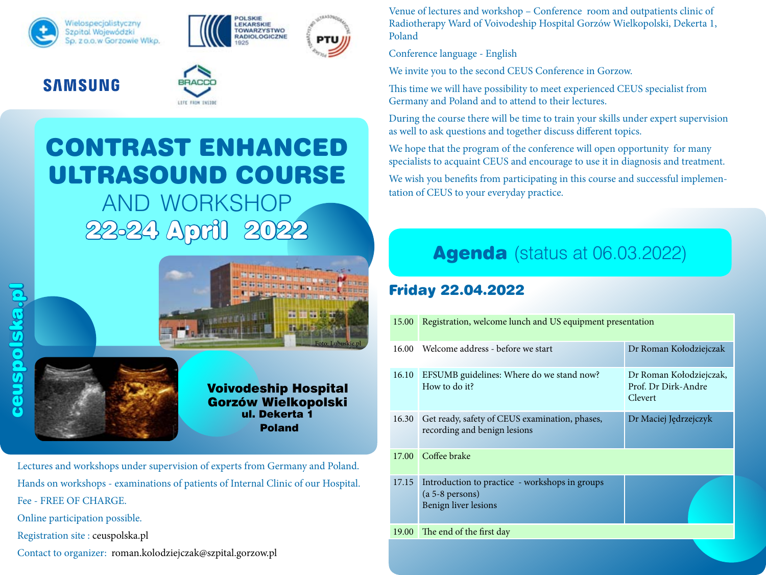





#### **SAMSUNG**



# CONTRAST ENHANCED ULTRASOUND COURSE

AND WORKSHOP 22-24 April 2022





Voivodeship Hospital Gorzów Wielkopolski ul. Dekerta 1 Poland

Lectures and workshops under supervision of experts from Germany and Poland. Hands on workshops - examinations of patients of Internal Clinic of our Hospital. Fee - FREE OF CHARGE. Online participation possible. Registration site : ceuspolska.pl Contact to organizer: roman.kolodziejczak@szpital.gorzow.pl

Venue of lectures and workshop – Conference room and outpatients clinic of Radiotherapy Ward of Voivodeship Hospital Gorzów Wielkopolski, Dekerta 1, Poland

Conference language - English

We invite you to the second CEUS Conference in Gorzow.

This time we will have possibility to meet experienced CEUS specialist from Germany and Poland and to attend to their lectures.

During the course there will be time to train your skills under expert supervision as well to ask questions and together discuss different topics.

We hope that the program of the conference will open opportunity for many specialists to acquaint CEUS and encourage to use it in diagnosis and treatment.

We wish you benefits from participating in this course and successful implementation of CEUS to your everyday practice.

## **Agenda** (status at 06.03.2022)

### Friday 22.04.2022

| 15.00 | Registration, welcome lunch and US equipment presentation                                   |                                                           |  |
|-------|---------------------------------------------------------------------------------------------|-----------------------------------------------------------|--|
| 16.00 | Welcome address - before we start                                                           | Dr Roman Kołodziejczak                                    |  |
| 16.10 | EFSUMB guidelines: Where do we stand now?<br>How to do it?                                  | Dr Roman Kołodziejczak,<br>Prof. Dr Dirk-Andre<br>Clevert |  |
| 16.30 | Get ready, safety of CEUS examination, phases,<br>recording and benign lesions              | Dr Maciej Jędrzejczyk                                     |  |
| 17.00 | Coffee brake                                                                                |                                                           |  |
| 17.15 | Introduction to practice - workshops in groups<br>$(a 5-8$ persons)<br>Benign liver lesions |                                                           |  |
| 19.00 | The end of the first day                                                                    |                                                           |  |
|       |                                                                                             |                                                           |  |